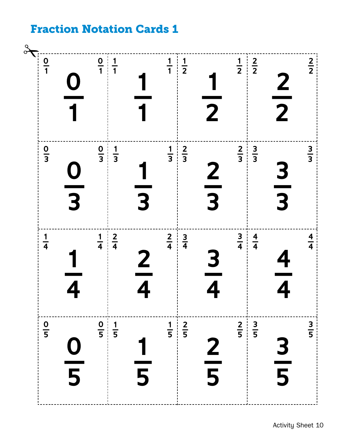## Fraction Notation Cards 1

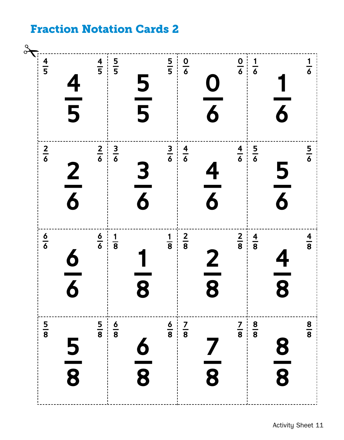## Fraction Notation Cards 2

| $\frac{4}{5}$ | $\frac{4}{5}$           | $\frac{4}{5}$ | $\frac{5}{5}$ | $\frac{5}{5}$                | $\frac{5}{5}$ | $\frac{0}{6}$ | $\frac{\mathbf{O}}{\mathbf{6}}$ |               | $\begin{array}{c c} 0 & 1 \\ \hline 6 & 6 \end{array}$ |                                          | $\frac{1}{6}$ |
|---------------|-------------------------|---------------|---------------|------------------------------|---------------|---------------|---------------------------------|---------------|--------------------------------------------------------|------------------------------------------|---------------|
| $rac{2}{6}$   | $\frac{2}{6}$           | $rac{2}{6}$   | $rac{3}{6}$   | $\frac{3}{6}$                | $\frac{3}{6}$ | $\frac{4}{6}$ | $\frac{4}{6}$                   | $\frac{4}{6}$ | $rac{5}{6}$                                            | $\frac{5}{6}$                            | $rac{5}{6}$   |
| $\frac{6}{6}$ | $\overline{\mathbf{6}}$ | $\frac{6}{6}$ | $\frac{1}{8}$ | 8                            | $\frac{1}{8}$ | $\frac{2}{8}$ | $\frac{\mathbf{2}}{\mathbf{8}}$ | $\frac{2}{8}$ | $\frac{4}{8}$                                          | $\frac{4}{1}$<br>$\overline{\mathbf{8}}$ | $\frac{4}{8}$ |
| $\frac{5}{8}$ | $\frac{5}{8}$           | $\frac{5}{8}$ | $\frac{6}{8}$ | 6<br>$\overline{\mathbf{8}}$ | $\frac{6}{8}$ | $\frac{7}{8}$ | 8                               | $\frac{7}{8}$ | $\frac{8}{8}$                                          | $\frac{\bf 8}{\bf 8}$                    | $\frac{8}{8}$ |